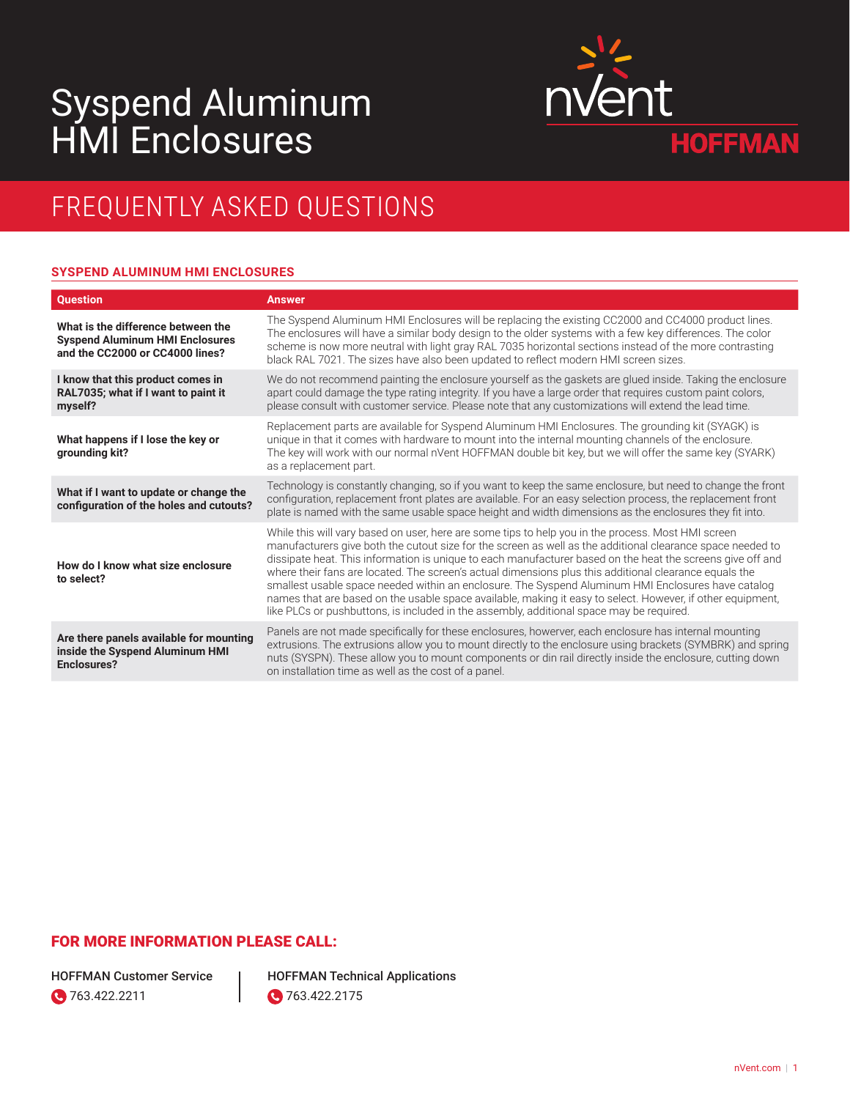# Syspend Aluminum HMI Enclosures



# FREQUENTLY ASKED QUESTIONS

### **SYSPEND ALUMINUM HMI ENCLOSURES**

| <b>Question</b>                                                                                                 | <b>Answer</b>                                                                                                                                                                                                                                                                                                                                                                                                                                                                                                                                                                                                                                                                                                                                            |
|-----------------------------------------------------------------------------------------------------------------|----------------------------------------------------------------------------------------------------------------------------------------------------------------------------------------------------------------------------------------------------------------------------------------------------------------------------------------------------------------------------------------------------------------------------------------------------------------------------------------------------------------------------------------------------------------------------------------------------------------------------------------------------------------------------------------------------------------------------------------------------------|
| What is the difference between the<br><b>Syspend Aluminum HMI Enclosures</b><br>and the CC2000 or CC4000 lines? | The Syspend Aluminum HMI Enclosures will be replacing the existing CC2000 and CC4000 product lines.<br>The enclosures will have a similar body design to the older systems with a few key differences. The color<br>scheme is now more neutral with light gray RAL 7035 horizontal sections instead of the more contrasting<br>black RAL 7021. The sizes have also been updated to reflect modern HMI screen sizes.                                                                                                                                                                                                                                                                                                                                      |
| I know that this product comes in<br>RAL7035; what if I want to paint it<br>myself?                             | We do not recommend painting the enclosure yourself as the gaskets are glued inside. Taking the enclosure<br>apart could damage the type rating integrity. If you have a large order that requires custom paint colors,<br>please consult with customer service. Please note that any customizations will extend the lead time.                                                                                                                                                                                                                                                                                                                                                                                                                          |
| What happens if I lose the key or<br>grounding kit?                                                             | Replacement parts are available for Syspend Aluminum HMI Enclosures. The grounding kit (SYAGK) is<br>unique in that it comes with hardware to mount into the internal mounting channels of the enclosure.<br>The key will work with our normal nVent HOFFMAN double bit key, but we will offer the same key (SYARK)<br>as a replacement part.                                                                                                                                                                                                                                                                                                                                                                                                            |
| What if I want to update or change the<br>configuration of the holes and cutouts?                               | Technology is constantly changing, so if you want to keep the same enclosure, but need to change the front<br>configuration, replacement front plates are available. For an easy selection process, the replacement front<br>plate is named with the same usable space height and width dimensions as the enclosures they fit into.                                                                                                                                                                                                                                                                                                                                                                                                                      |
| How do I know what size enclosure<br>to select?                                                                 | While this will vary based on user, here are some tips to help you in the process. Most HMI screen<br>manufacturers give both the cutout size for the screen as well as the additional clearance space needed to<br>dissipate heat. This information is unique to each manufacturer based on the heat the screens give off and<br>where their fans are located. The screen's actual dimensions plus this additional clearance equals the<br>smallest usable space needed within an enclosure. The Syspend Aluminum HMI Enclosures have catalog<br>names that are based on the usable space available, making it easy to select. However, if other equipment,<br>like PLCs or pushbuttons, is included in the assembly, additional space may be required. |
| Are there panels available for mounting<br>inside the Syspend Aluminum HMI<br><b>Enclosures?</b>                | Panels are not made specifically for these enclosures, howerver, each enclosure has internal mounting<br>extrusions. The extrusions allow you to mount directly to the enclosure using brackets (SYMBRK) and spring<br>nuts (SYSPN). These allow you to mount components or din rail directly inside the enclosure, cutting down<br>on installation time as well as the cost of a panel.                                                                                                                                                                                                                                                                                                                                                                 |

# FOR MORE INFORMATION PLEASE CALL:

HOFFMAN Customer Service 0763.422.2211

HOFFMAN Technical Applications **3** 763.422.2175